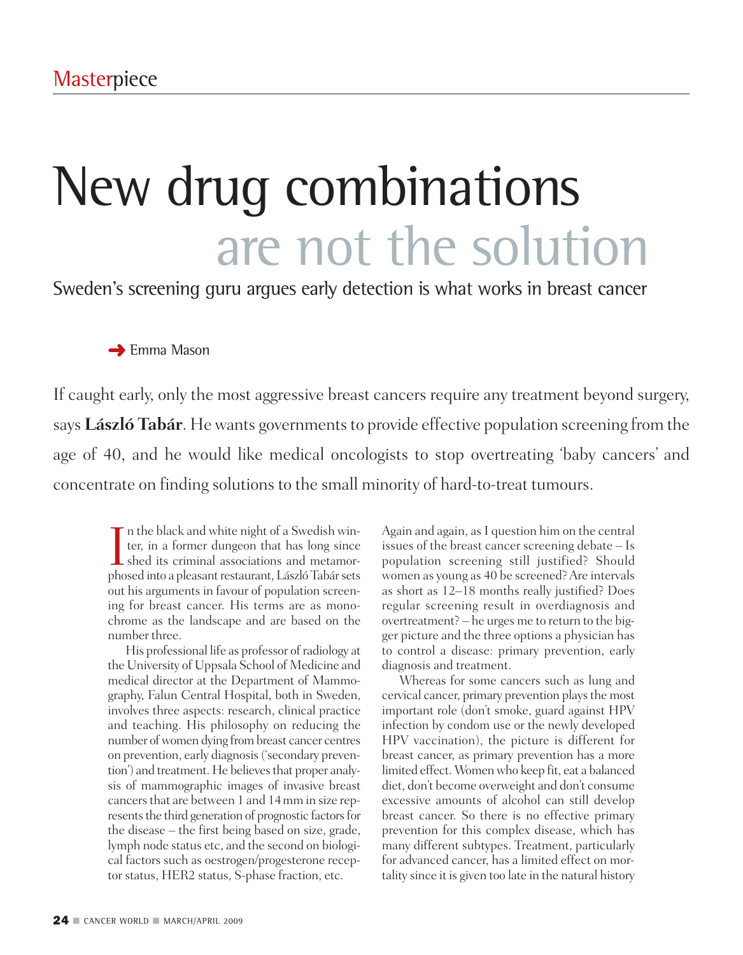# New drug combinations are not the solution

Sweden's screening guru argues early detection is what works in breast cancer

**➜** Emma Mason

If caught early, only the most aggressive breast cancers require any treatment beyond surgery, says **László Tabár**. He wants governments to provide effective population screening from the age of 40, and he would like medical oncologists to stop overtreating 'baby cancers' and concentrate on finding solutions to the small minority of hard-to-treat tumours.

In the black and white night of a Swedish winter, in a former dungeon that has long since<br>shed its criminal associations and metamor-<br>phosed into a pleasant restaurant László Tabár sets In the black and white night of a Swedish winter, in a former dungeon that has long since phosed into a pleasant restaurant, László Tabár sets out his arguments in favour of population screening for breast cancer. His terms are as monochrome as the landscape and are based on the number three.

His professional life as professor of radiology at the University of Uppsala School of Medicine and medical director at the Department of Mammography, Falun Central Hospital, both in Sweden, involves three aspects: research, clinical practice and teaching. His philosophy on reducing the number of women dying from breast cancer centres on prevention, early diagnosis('secondary prevention') and treatment. He believes that proper analysis of mammographic images of invasive breast cancersthat are between 1 and 14mm in size represents the third generation of prognostic factors for the disease – the first being based on size, grade, lymph node status etc, and the second on biological factors such as oestrogen/progesterone receptor status, HER2 status, S-phase fraction, etc.

Again and again, as I question him on the central issues of the breast cancer screening debate – Is population screening still justified? Should women as young as 40 be screened?Are intervals as short as 12–18 months really justified? Does regular screening result in overdiagnosis and overtreatment? – he urges me to return to the bigger picture and the three options a physician has to control a disease: primary prevention, early diagnosis and treatment.

Whereas for some cancers such as lung and cervical cancer, primary prevention plays the most important role (don't smoke, guard against HPV infection by condom use or the newly developed HPV vaccination), the picture is different for breast cancer, as primary prevention has a more limited effect. Womenwho keep fit, eat a balanced diet, don't become overweight and don't consume excessive amounts of alcohol can still develop breast cancer. So there is no effective primary prevention for this complex disease, which has many different subtypes. Treatment, particularly for advanced cancer, has a limited effect on mortality since it is given too late in the natural history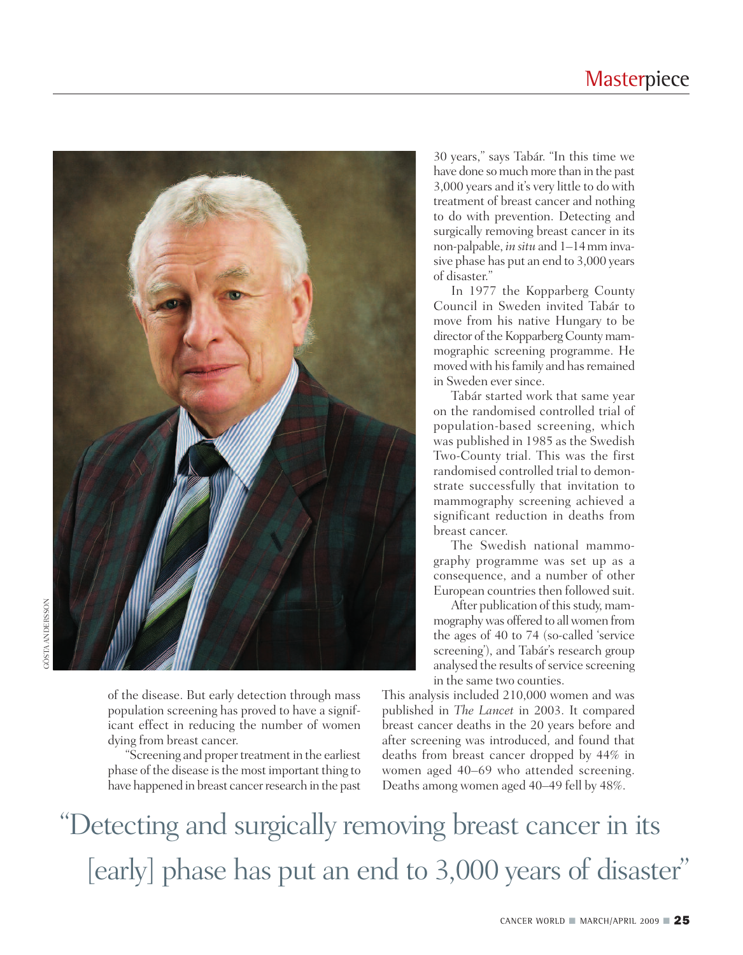#### **Masterpiece**



of the disease. But early detection through mass population screening has proved to have a significant effect in reducing the number of women dying from breast cancer.

"Screening and proper treatment in the earliest phase of the disease isthe most important thing to have happened in breast cancer research in the past

30 years," says Tabár. "In this time we have done so much more than in the past 3,000 years and it's very little to do with treatment of breast cancer and nothing to do with prevention. Detecting and surgically removing breast cancer in its non-palpable, *in situ* and 1–14mm invasive phase has put an end to 3,000 years of disaster."

In 1977 the Kopparberg County Council in Sweden invited Tabár to move from his native Hungary to be director of the Kopparberg County mammographic screening programme. He moved with his family and has remained in Sweden ever since.

Tabár started work that same year on the randomised controlled trial of population-based screening, which was published in 1985 as the Swedish Two-County trial. This was the first randomised controlled trial to demonstrate successfully that invitation to mammography screening achieved a significant reduction in deaths from breast cancer.

The Swedish national mammography programme was set up as a consequence, and a number of other European countries then followed suit.

After publication of this study, mammographywas offered to allwomen from the ages of 40 to 74 (so-called 'service screening'), and Tabár's research group analysed the results of service screening in the same two counties.

This analysis included 210,000 women and was published in *The Lancet* in 2003. It compared breast cancer deaths in the 20 years before and after screening was introduced, and found that deaths from breast cancer dropped by 44% in women aged 40–69 who attended screening. Deaths among women aged 40–49 fell by 48%.

"Detecting and surgically removing breast cancer in its [early] phase has put an end to 3,000 years of disaster"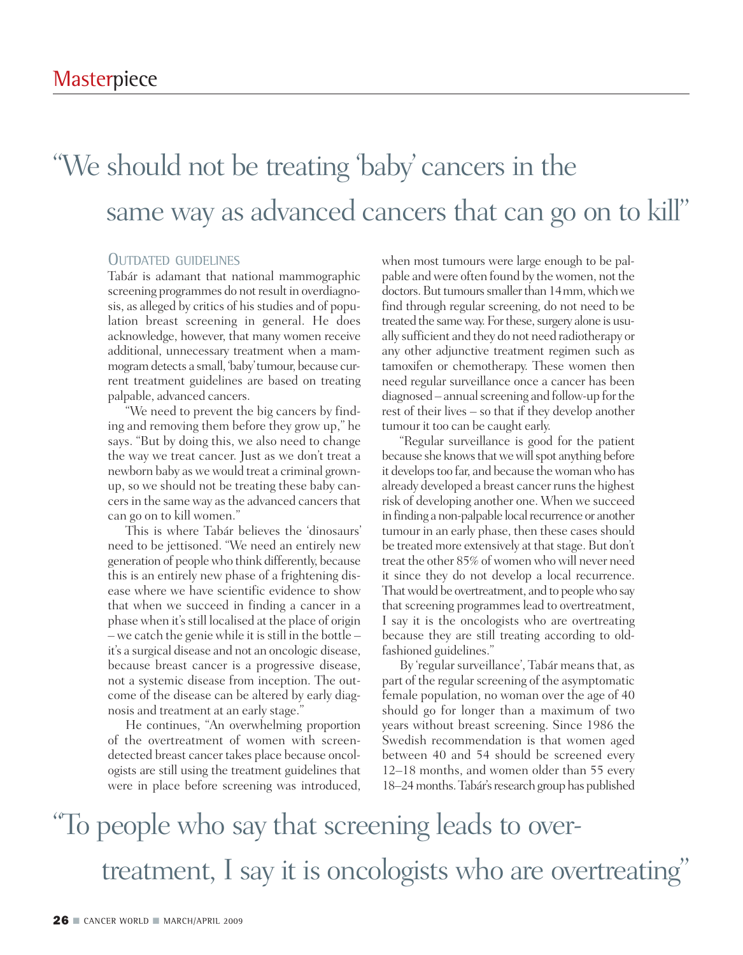### "We should not be treating 'baby cancers in the ' same way as advanced cancers that can go on to kill"

#### OUTDATED GUIDELINES

Tabár is adamant that national mammographic screening programmes do not result in overdiagnosis, as alleged by critics of his studies and of population breast screening in general. He does acknowledge, however, that many women receive additional, unnecessary treatment when a mammogramdetects a small, 'baby'tumour, because current treatment guidelines are based on treating palpable, advanced cancers.

"We need to prevent the big cancers by finding and removing them before they grow up," he says. "But by doing this, we also need to change the way we treat cancer. Just as we don't treat a newborn baby as we would treat a criminal grownup, so we should not be treating these baby cancersin the same way asthe advanced cancersthat can go on to kill women."

This is where Tabár believes the 'dinosaurs' need to be jettisoned. "We need an entirely new generation of peoplewho think differently, because this is an entirely new phase of a frightening disease where we have scientific evidence to show that when we succeed in finding a cancer in a phase when it's still localised at the place of origin  $-$  we catch the genie while it is still in the bottle  $$ it's a surgical disease and not an oncologic disease, because breast cancer is a progressive disease, not a systemic disease from inception. The outcome of the disease can be altered by early diagnosis and treatment at an early stage."

He continues, "An overwhelming proportion of the overtreatment of women with screendetected breast cancer takes place because oncologists are still using the treatment guidelines that were in place before screening was introduced,

when most tumours were large enough to be palpable andwere often found by thewomen, not the doctors. But tumours smaller than 14 mm, which we find through regular screening, do not need to be treated the same way. For these, surgery alone is usually sufficient and they do not need radiotherapy or any other adjunctive treatment regimen such as tamoxifen or chemotherapy. These women then need regular surveillance once a cancer has been diagnosed – annual screening and follow-up for the rest of their lives – so that if they develop another tumour it too can be caught early.

"Regular surveillance is good for the patient because she knows that we will spot anything before it develops too far, and because the woman who has already developed a breast cancer runs the highest risk of developing another one. When we succeed in finding a non-palpable local recurrence or another tumour in an early phase, then these cases should be treated more extensively at that stage. But don't treat the other 85% of women who will never need it since they do not develop a local recurrence. That would be overtreatment, and to people who say that screening programmes lead to overtreatment, I say it is the oncologists who are overtreating because they are still treating according to oldfashioned guidelines."

By 'regular surveillance', Tabár means that, as part of the regular screening of the asymptomatic female population, no woman over the age of 40 should go for longer than a maximum of two years without breast screening. Since 1986 the Swedish recommendation is that women aged between 40 and 54 should be screened every 12–18 months, and women older than 55 every 18–24 months. Tabár's research group has published

# "To people who say that screening leads to overtreatment, I say it is oncologists who are overtreating"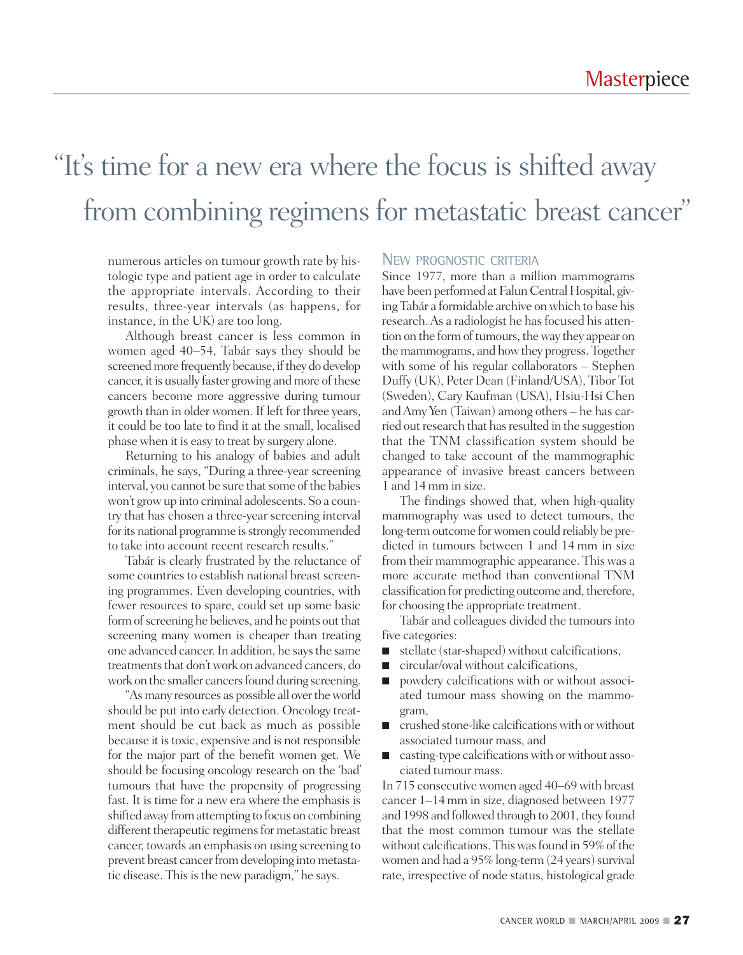## "It' s time for a new era where the focus is shifted away from combining regimens for metastatic breast cancer"

numerous articles on tumour growth rate by histologic type and patient age in order to calculate the appropriate intervals. According to their results, three-year intervals (as happens, for instance, in the UK) are too long.

Although breast cancer is less common in women aged 40–54, Tabár says they should be screened more frequently because, if they do develop cancer, it is usually faster growing and more of these cancers become more aggressive during tumour growth than in older women. If left for three years, it could be too late to find it at the small, localised phase when it is easy to treat by surgery alone.

Returning to his analogy of babies and adult criminals, he says, "During a three-year screening interval, you cannot be sure that some of the babies won't growup into criminal adolescents. So a country that has chosen a three-year screening interval for its national programme is strongly recommended to take into account recent research results."

Tabár is clearly frustrated by the reluctance of some countries to establish national breast screening programmes. Even developing countries, with fewer resources to spare, could set up some basic form of screening he believes, and he points out that screening many women is cheaper than treating one advanced cancer.In addition, he saysthe same treatments that don't work on advanced cancers, do work on the smaller cancers found during screening.

"As many resources as possible all over the world should be put into early detection. Oncology treatment should be cut back as much as possible because it istoxic, expensive and is not responsible for the major part of the benefit women get. We should be focusing oncology research on the 'bad' tumours that have the propensity of progressing fast. It is time for a new era where the emphasis is shifted away from attempting to focus on combining different therapeutic regimens for metastatic breast cancer, towards an emphasis on using screening to prevent breast cancer from developing into metastatic disease. This is the new paradigm," he says.

#### NEW PROGNOSTIC CRITERIA

Since 1977, more than a million mammograms have been performed at Falun Central Hospital, giving Tabár a formidable archive onwhich to base his research. As a radiologist he has focused his attention on the form of tumours, the way they appear on the mammograms, and how they progress. Together with some of his regular collaborators – Stephen Duffy (UK), Peter Dean (Finland/USA), Tibor Tot (Sweden), Cary Kaufman (USA), Hsiu-Hsi Chen andAmy Yen (Taiwan) among others – he has carried out research that has resulted in the suggestion that the TNM classification system should be changed to take account of the mammographic appearance of invasive breast cancers between 1 and 14mm in size.

The findings showed that, when high-quality mammography was used to detect tumours, the long-term outcome for women could reliably be predicted in tumours between 1 and 14 mm in size from their mammographic appearance. This was a more accurate method than conventional TNM classification for predicting outcome and, therefore, for choosing the appropriate treatment.

Tabár and colleagues divided the tumours into five categories:

- stellate (star-shaped) without calcifications,
- circular/oval without calcifications,
- powdery calcifications with or without associated tumour mass showing on the mammogram,
- crushed stone-like calcifications with or without associated tumour mass, and
- casting-type calcifications with or without associated tumour mass.

In 715 consecutive women aged 40–69 with breast cancer 1–14mm in size, diagnosed between 1977 and 1998 and followed through to 2001, they found that the most common tumour was the stellate without calcifications. This was found in 59% of the women and had a 95% long-term (24 years) survival rate, irrespective of node status, histological grade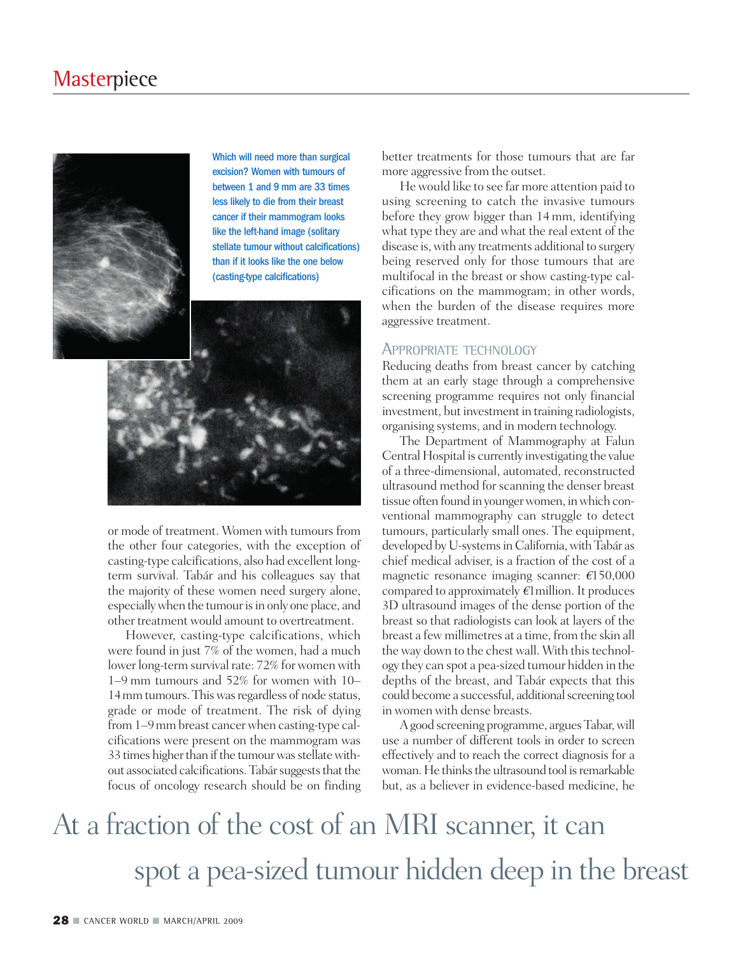

Which will need more than surgical excision? Women with tumours of between 1 and 9 mm are 33 times less likely to die from their breast cancer if their mammogram looks like the left-hand image (solitary stellate tumour without calcifications) than if it looks like the one below (casting-type calcifications)



or mode of treatment. Women with tumours from the other four categories, with the exception of casting-type calcifications, also had excellent longterm survival. Tabár and his colleagues say that the majority of these women need surgery alone, especially when the tumour is in only one place, and other treatment would amount to overtreatment.

However, casting-type calcifications, which were found in just 7% of the women, had a much lower long-term survival rate: 72% for women with 1–9 mm tumours and 52% for women with 10– 14mmtumours.Thiswasregardless of node status, grade or mode of treatment. The risk of dying from 1–9mm breast cancerwhen casting-type calcifications were present on the mammogram was 33 times higher than if the tumour was stellate without associated calcifications. Tabár suggests that the focus of oncology research should be on finding better treatments for those tumours that are far more aggressive from the outset.

He would like to see far more attention paid to using screening to catch the invasive tumours before they grow bigger than 14mm, identifying what type they are and what the real extent of the disease is,with any treatments additional to surgery being reserved only for those tumours that are multifocal in the breast or show casting-type calcifications on the mammogram; in other words, when the burden of the disease requires more aggressive treatment.

#### APPROPRIATE TECHNOLOGY

Reducing deaths from breast cancer by catching them at an early stage through a comprehensive screening programme requires not only financial investment, but investment in training radiologists, organising systems, and in modern technology.

The Department of Mammography at Falun Central Hospital is currently investigating the value of a three-dimensional, automated, reconstructed ultrasound method for scanning the denser breast tissue often found in youngerwomen, inwhich conventional mammography can struggle to detect tumours, particularly small ones. The equipment, developed by U-systems in California, with Tabár as chief medical adviser, is a fraction of the cost of a magnetic resonance imaging scanner: *€*150,000 compared to approximately *€*1million. It produces 3D ultrasound images of the dense portion of the breast so that radiologists can look at layers of the breast a few millimetres at a time, from the skin all the way down to the chest wall. With this technology they can spot a pea-sized tumour hidden in the depths of the breast, and Tabár expects that this could become a successful, additional screening tool in women with dense breasts.

Agood screening programme, arguesTabar,will use a number of different tools in order to screen effectively and to reach the correct diagnosis for a woman. He thinks the ultrasound tool is remarkable but, as a believer in evidence-based medicine, he

## At a fraction of the cost of an MRI scanner, it can spot a pea-sized tumour hidden deep in the breast